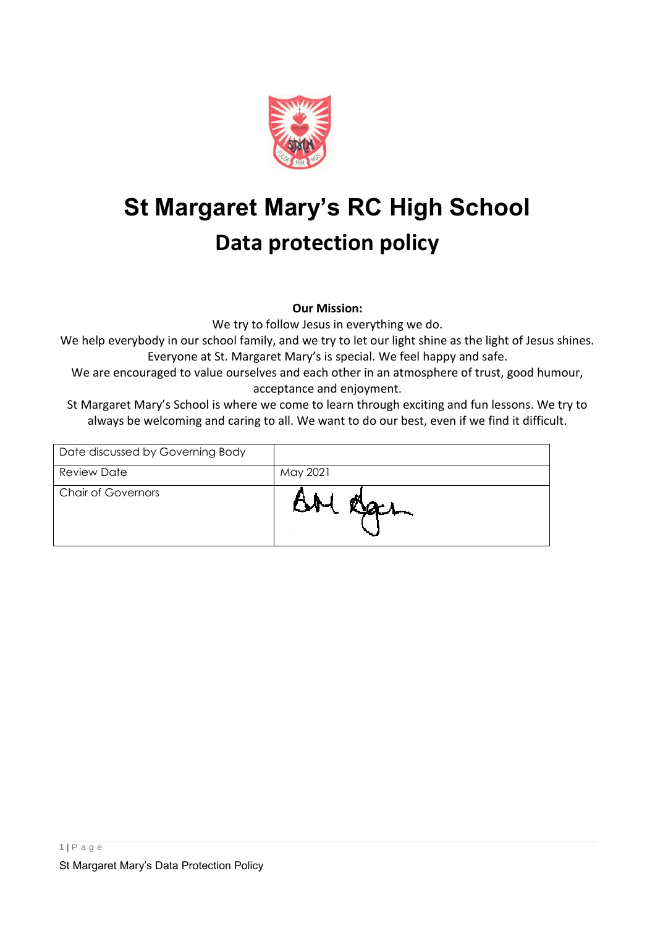

# **St Margaret Mary's RC High School Data protection policy**

**Our Mission:**

We try to follow Jesus in everything we do.

We help everybody in our school family, and we try to let our light shine as the light of Jesus shines. Everyone at St. Margaret Mary's is special. We feel happy and safe.

We are encouraged to value ourselves and each other in an atmosphere of trust, good humour, acceptance and enjoyment.

St Margaret Mary's School is where we come to learn through exciting and fun lessons. We try to always be welcoming and caring to all. We want to do our best, even if we find it difficult.

| Date discussed by Governing Body |          |
|----------------------------------|----------|
| <b>Review Date</b>               | May 2021 |
| <b>Chair of Governors</b>        |          |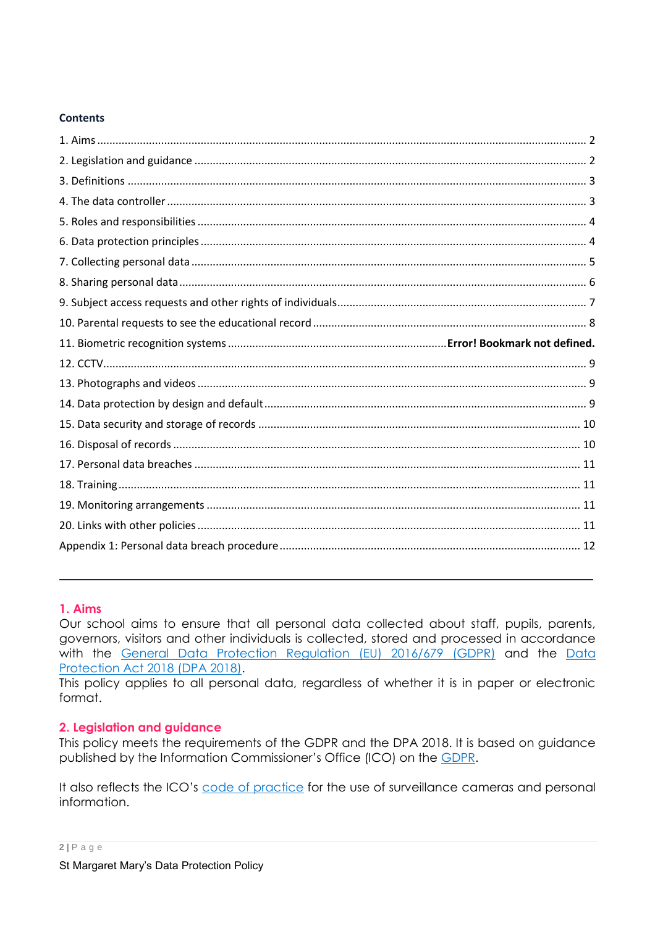#### **Contents**

## <span id="page-1-0"></span>**1. Aims**

Our school aims to ensure that all personal data collected about staff, pupils, parents, governors, visitors and other individuals is collected, stored and processed in accordance with the [General Data Protection Regulation](https://eur-lex.europa.eu/legal-content/EN/TXT/?qid=1528874672298&uri=CELEX:02016R0679-20160504) (EU) 2016/679 (GDPR) and the Data [Protection Act 2018 \(DPA 2018\).](http://www.legislation.gov.uk/ukpga/2018/12/contents/enacted)

This policy applies to all personal data, regardless of whether it is in paper or electronic format.

## <span id="page-1-1"></span>**2. Legislation and guidance**

This policy meets the requirements of the GDPR and the DPA 2018. It is based on guidance published by the Information Commissioner's Office (ICO) on the [GDPR.](https://ico.org.uk/for-organisations/guide-to-the-general-data-protection-regulation-gdpr/)

It also reflects the ICO's [code of practice](https://ico.org.uk/media/for-organisations/documents/1542/cctv-code-of-practice.pdf) for the use of surveillance cameras and personal information.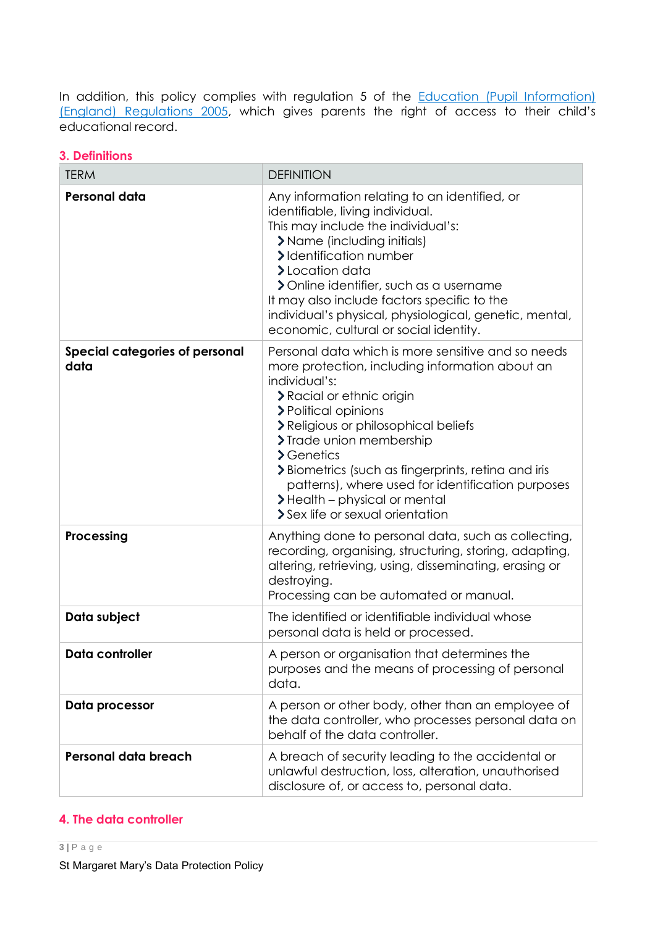In addition, this policy complies with regulation 5 of the **Education (Pupil Information)** [\(England\) Regulations 2005](http://www.legislation.gov.uk/uksi/2005/1437/regulation/5/made), which gives parents the right of access to their child's educational record.

| V. PVIIIIIIVIIJ                               |                                                                                                                                                                                                                                                                                                                                                                                                                                                     |  |
|-----------------------------------------------|-----------------------------------------------------------------------------------------------------------------------------------------------------------------------------------------------------------------------------------------------------------------------------------------------------------------------------------------------------------------------------------------------------------------------------------------------------|--|
| <b>TERM</b>                                   | <b>DEFINITION</b>                                                                                                                                                                                                                                                                                                                                                                                                                                   |  |
| <b>Personal data</b>                          | Any information relating to an identified, or<br>identifiable, living individual.<br>This may include the individual's:<br>> Name (including initials)<br>>Identification number<br>>Location data<br>> Online identifier, such as a username<br>It may also include factors specific to the<br>individual's physical, physiological, genetic, mental,<br>economic, cultural or social identity.                                                    |  |
| <b>Special categories of personal</b><br>data | Personal data which is more sensitive and so needs<br>more protection, including information about an<br>individual's:<br>> Racial or ethnic origin<br>> Political opinions<br>> Religious or philosophical beliefs<br>> Trade union membership<br>$\sum$ Genetics<br>> Biometrics (such as fingerprints, retina and iris<br>patterns), where used for identification purposes<br>> Health - physical or mental<br>> Sex life or sexual orientation |  |
| Processing                                    | Anything done to personal data, such as collecting,<br>recording, organising, structuring, storing, adapting,<br>altering, retrieving, using, disseminating, erasing or<br>destroying.<br>Processing can be automated or manual.                                                                                                                                                                                                                    |  |
| Data subject                                  | The identified or identifiable individual whose<br>personal data is held or processed.                                                                                                                                                                                                                                                                                                                                                              |  |
| Data controller                               | A person or organisation that determines the<br>purposes and the means of processing of personal<br>data.                                                                                                                                                                                                                                                                                                                                           |  |
| Data processor                                | A person or other body, other than an employee of<br>the data controller, who processes personal data on<br>behalf of the data controller.                                                                                                                                                                                                                                                                                                          |  |
| Personal data breach                          | A breach of security leading to the accidental or<br>unlawful destruction, loss, alteration, unauthorised<br>disclosure of, or access to, personal data.                                                                                                                                                                                                                                                                                            |  |

## <span id="page-2-0"></span>**3. Definitions**

#### <span id="page-2-1"></span>**4. The data controller**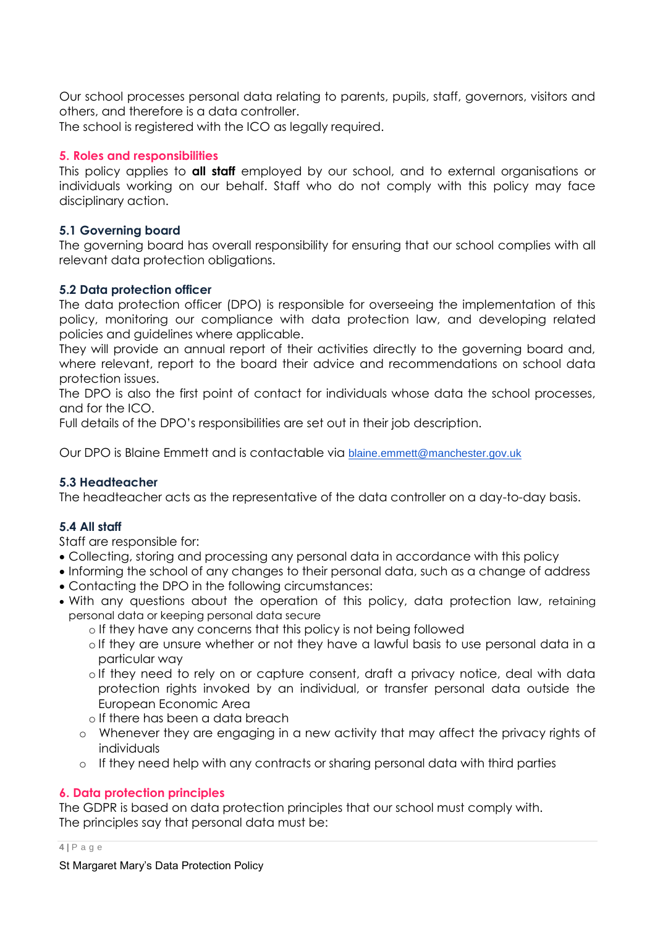Our school processes personal data relating to parents, pupils, staff, governors, visitors and others, and therefore is a data controller.

The school is registered with the ICO as legally required.

## <span id="page-3-0"></span>**5. Roles and responsibilities**

This policy applies to **all staff** employed by our school, and to external organisations or individuals working on our behalf. Staff who do not comply with this policy may face disciplinary action.

## **5.1 Governing board**

The governing board has overall responsibility for ensuring that our school complies with all relevant data protection obligations.

## **5.2 Data protection officer**

The data protection officer (DPO) is responsible for overseeing the implementation of this policy, monitoring our compliance with data protection law, and developing related policies and guidelines where applicable.

They will provide an annual report of their activities directly to the governing board and, where relevant, report to the board their advice and recommendations on school data protection issues.

The DPO is also the first point of contact for individuals whose data the school processes, and for the ICO.

Full details of the DPO's responsibilities are set out in their job description.

Our DPO is Blaine Emmett and is contactable via [blaine.emmett@manchester.gov.uk](mailto:blaine.emmett@manchester.gov.uk)

## **5.3 Headteacher**

The headteacher acts as the representative of the data controller on a day-to-day basis.

## **5.4 All staff**

Staff are responsible for:

- Collecting, storing and processing any personal data in accordance with this policy
- Informing the school of any changes to their personal data, such as a change of address Contacting the DPO in the following circumstances:
- With any questions about the operation of this policy, data protection law, retaining personal data or keeping personal data secure
	- o If they have any concerns that this policy is not being followed
	- o If they are unsure whether or not they have a lawful basis to use personal data in a particular way
	- o If they need to rely on or capture consent, draft a privacy notice, deal with data protection rights invoked by an individual, or transfer personal data outside the European Economic Area
	- o If there has been a data breach
	- o Whenever they are engaging in a new activity that may affect the privacy rights of individuals
	- o If they need help with any contracts or sharing personal data with third parties

## <span id="page-3-1"></span>**6. Data protection principles**

The GDPR is based on data protection principles that our school must comply with. The principles say that personal data must be:

#### **4 |** P a g e

St Margaret Mary's Data Protection Policy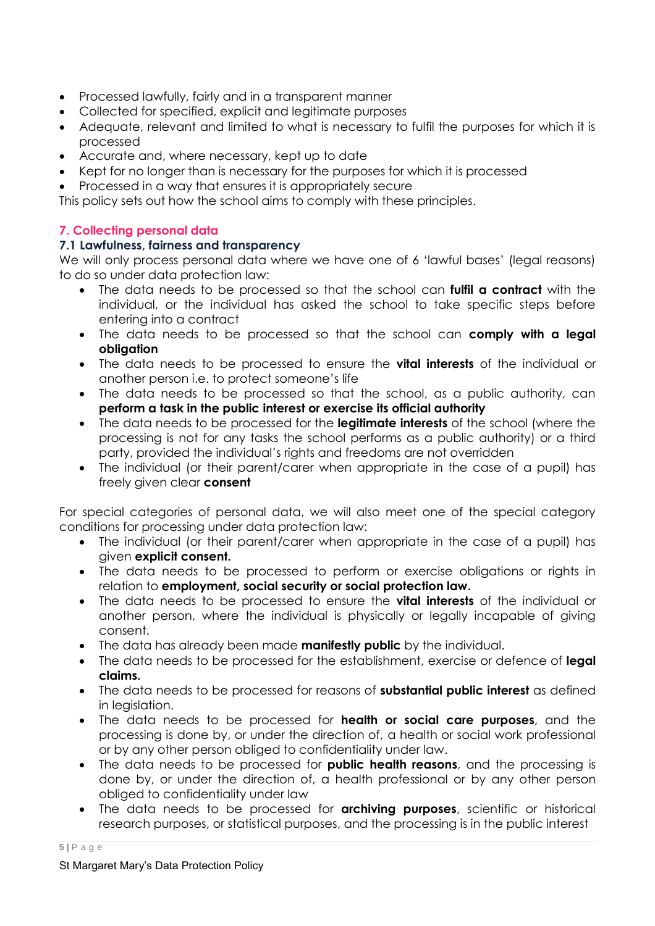- Processed lawfully, fairly and in a transparent manner
- Collected for specified, explicit and legitimate purposes
- Adequate, relevant and limited to what is necessary to fulfil the purposes for which it is processed
- Accurate and, where necessary, kept up to date
- Kept for no longer than is necessary for the purposes for which it is processed
- Processed in a way that ensures it is appropriately secure

This policy sets out how the school aims to comply with these principles.

## <span id="page-4-0"></span>**7. Collecting personal data**

## **7.1 Lawfulness, fairness and transparency**

We will only process personal data where we have one of 6 'lawful bases' (legal reasons) to do so under data protection law:

- The data needs to be processed so that the school can **fulfil a contract** with the individual, or the individual has asked the school to take specific steps before entering into a contract
- The data needs to be processed so that the school can **comply with a legal obligation**
- The data needs to be processed to ensure the **vital interests** of the individual or another person i.e. to protect someone's life
- The data needs to be processed so that the school, as a public authority, can **perform a task in the public interest or exercise its official authority**
- The data needs to be processed for the **legitimate interests** of the school (where the processing is not for any tasks the school performs as a public authority) or a third party, provided the individual's rights and freedoms are not overridden
- The individual (or their parent/carer when appropriate in the case of a pupil) has freely given clear **consent**

For special categories of personal data, we will also meet one of the special category conditions for processing under data protection law:

- The individual (or their parent/carer when appropriate in the case of a pupil) has given **explicit consent.**
- The data needs to be processed to perform or exercise obligations or rights in relation to **employment, social security or social protection law.**
- The data needs to be processed to ensure the **vital interests** of the individual or another person, where the individual is physically or legally incapable of giving consent.
- The data has already been made **manifestly public** by the individual.
- The data needs to be processed for the establishment, exercise or defence of **legal claims.**
- The data needs to be processed for reasons of **substantial public interest** as defined in leaislation.
- The data needs to be processed for **health or social care purposes**, and the processing is done by, or under the direction of, a health or social work professional or by any other person obliged to confidentiality under law.
- The data needs to be processed for **public health reasons**, and the processing is done by, or under the direction of, a health professional or by any other person obliged to confidentiality under law
- The data needs to be processed for **archiving purposes**, scientific or historical research purposes, or statistical purposes, and the processing is in the public interest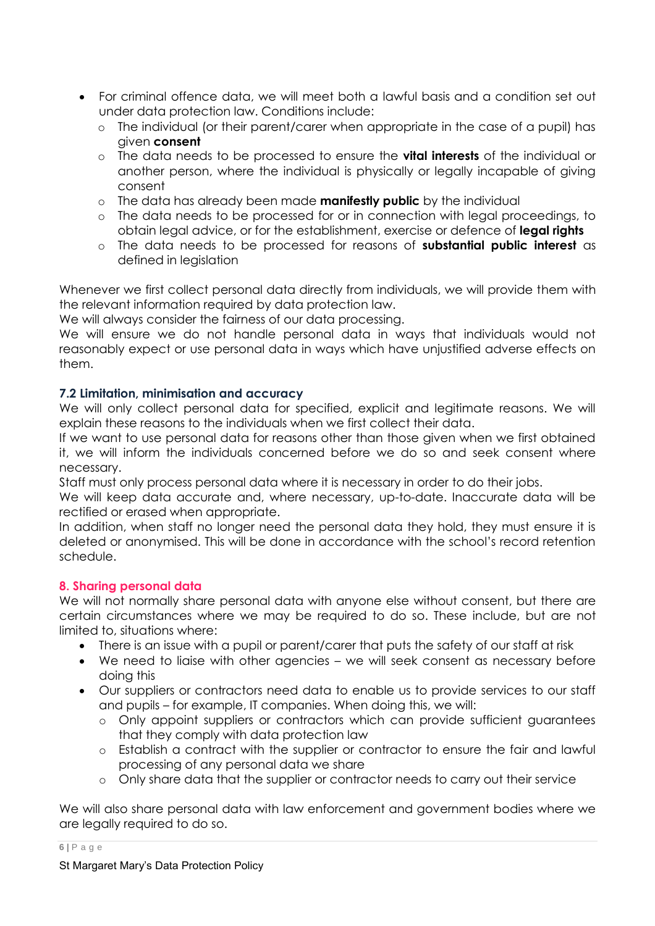- For criminal offence data, we will meet both a lawful basis and a condition set out under data protection law. Conditions include:
	- o The individual (or their parent/carer when appropriate in the case of a pupil) has given **consent**
	- o The data needs to be processed to ensure the **vital interests** of the individual or another person, where the individual is physically or legally incapable of giving consent
	- o The data has already been made **manifestly public** by the individual
	- o The data needs to be processed for or in connection with legal proceedings, to obtain legal advice, or for the establishment, exercise or defence of **legal rights**
	- o The data needs to be processed for reasons of **substantial public interest** as defined in legislation

Whenever we first collect personal data directly from individuals, we will provide them with the relevant information required by data protection law.

We will always consider the fairness of our data processing.

We will ensure we do not handle personal data in ways that individuals would not reasonably expect or use personal data in ways which have unjustified adverse effects on them.

## **7.2 Limitation, minimisation and accuracy**

We will only collect personal data for specified, explicit and legitimate reasons. We will explain these reasons to the individuals when we first collect their data.

If we want to use personal data for reasons other than those given when we first obtained it, we will inform the individuals concerned before we do so and seek consent where necessary.

Staff must only process personal data where it is necessary in order to do their jobs.

We will keep data accurate and, where necessary, up-to-date. Inaccurate data will be rectified or erased when appropriate.

In addition, when staff no longer need the personal data they hold, they must ensure it is deleted or anonymised. This will be done in accordance with the school's record retention schedule.

## <span id="page-5-0"></span>**8. Sharing personal data**

We will not normally share personal data with anyone else without consent, but there are certain circumstances where we may be required to do so. These include, but are not limited to, situations where:

- There is an issue with a pupil or parent/carer that puts the safety of our staff at risk
- We need to liaise with other agencies we will seek consent as necessary before doing this
- Our suppliers or contractors need data to enable us to provide services to our staff and pupils – for example, IT companies. When doing this, we will:
	- o Only appoint suppliers or contractors which can provide sufficient guarantees that they comply with data protection law
	- o Establish a contract with the supplier or contractor to ensure the fair and lawful processing of any personal data we share
	- o Only share data that the supplier or contractor needs to carry out their service

We will also share personal data with law enforcement and government bodies where we are legally required to do so.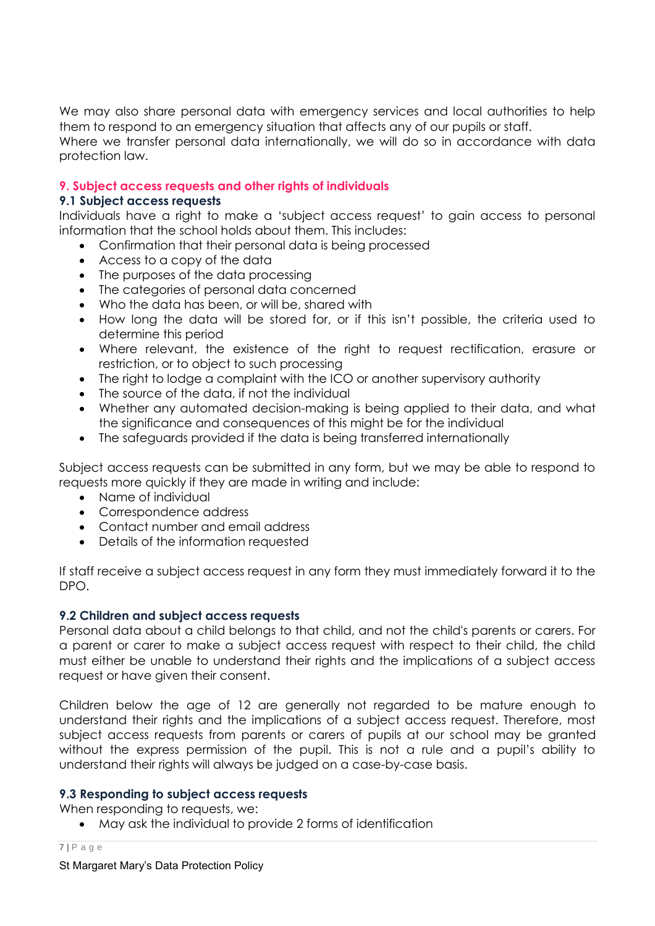We may also share personal data with emergency services and local authorities to help them to respond to an emergency situation that affects any of our pupils or staff.

Where we transfer personal data internationally, we will do so in accordance with data protection law.

## <span id="page-6-0"></span>**9. Subject access requests and other rights of individuals**

#### **9.1 Subject access requests**

Individuals have a right to make a 'subject access request' to gain access to personal information that the school holds about them. This includes:

- Confirmation that their personal data is being processed
- Access to a copy of the data
- The purposes of the data processing
- The categories of personal data concerned
- Who the data has been, or will be, shared with
- How long the data will be stored for, or if this isn't possible, the criteria used to determine this period
- Where relevant, the existence of the right to request rectification, erasure or restriction, or to object to such processing
- The right to lodge a complaint with the ICO or another supervisory authority
- The source of the data, if not the individual
- Whether any automated decision-making is being applied to their data, and what the significance and consequences of this might be for the individual
- The safeguards provided if the data is being transferred internationally

Subject access requests can be submitted in any form, but we may be able to respond to requests more quickly if they are made in writing and include:

- Name of individual
- Correspondence address
- Contact number and email address
- Details of the information requested

If staff receive a subject access request in any form they must immediately forward it to the DPO.

#### **9.2 Children and subject access requests**

Personal data about a child belongs to that child, and not the child's parents or carers. For a parent or carer to make a subject access request with respect to their child, the child must either be unable to understand their rights and the implications of a subject access request or have given their consent.

Children below the age of 12 are generally not regarded to be mature enough to understand their rights and the implications of a subject access request. Therefore, most subject access requests from parents or carers of pupils at our school may be granted without the express permission of the pupil. This is not a rule and a pupil's ability to understand their rights will always be judged on a case-by-case basis.

#### **9.3 Responding to subject access requests**

When responding to requests, we:

May ask the individual to provide 2 forms of identification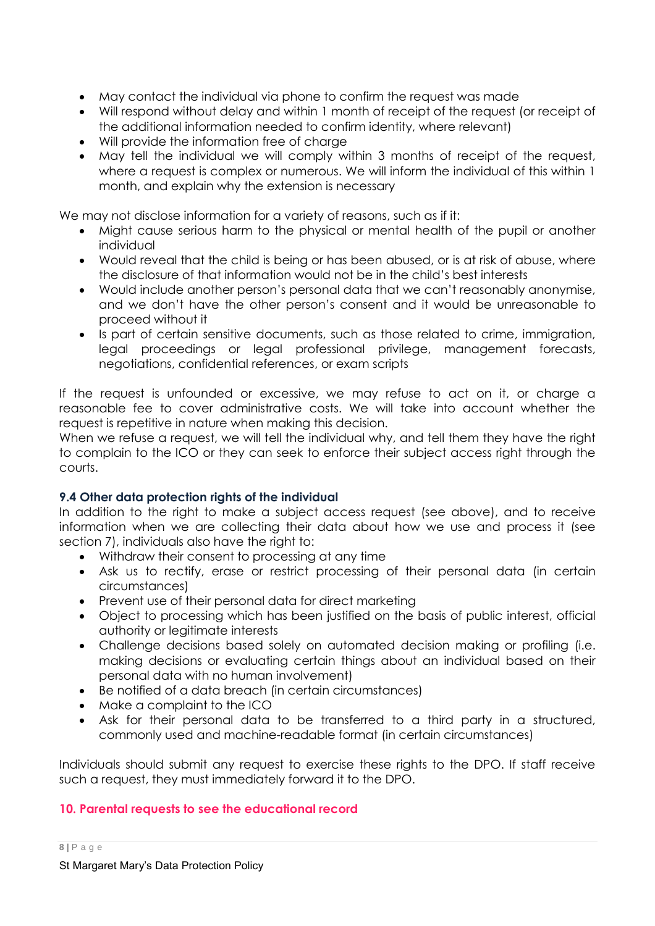- May contact the individual via phone to confirm the request was made
- Will respond without delay and within 1 month of receipt of the request (or receipt of the additional information needed to confirm identity, where relevant)
- Will provide the information free of charge
- May tell the individual we will comply within 3 months of receipt of the request, where a request is complex or numerous. We will inform the individual of this within 1 month, and explain why the extension is necessary

We may not disclose information for a variety of reasons, such as if it:

- Might cause serious harm to the physical or mental health of the pupil or another individual
- Would reveal that the child is being or has been abused, or is at risk of abuse, where the disclosure of that information would not be in the child's best interests
- Would include another person's personal data that we can't reasonably anonymise, and we don't have the other person's consent and it would be unreasonable to proceed without it
- Is part of certain sensitive documents, such as those related to crime, immigration, legal proceedings or legal professional privilege, management forecasts, negotiations, confidential references, or exam scripts

If the request is unfounded or excessive, we may refuse to act on it, or charge a reasonable fee to cover administrative costs. We will take into account whether the request is repetitive in nature when making this decision.

When we refuse a request, we will tell the individual why, and tell them they have the right to complain to the ICO or they can seek to enforce their subject access right through the courts.

## **9.4 Other data protection rights of the individual**

In addition to the right to make a subject access request (see above), and to receive information when we are collecting their data about how we use and process it (see section 7), individuals also have the right to:

- Withdraw their consent to processing at any time
- Ask us to rectify, erase or restrict processing of their personal data (in certain circumstances)
- Prevent use of their personal data for direct marketing
- Object to processing which has been justified on the basis of public interest, official authority or legitimate interests
- Challenge decisions based solely on automated decision making or profiling (i.e. making decisions or evaluating certain things about an individual based on their personal data with no human involvement)
- Be notified of a data breach (in certain circumstances)
- Make a complaint to the ICO
- Ask for their personal data to be transferred to a third party in a structured, commonly used and machine-readable format (in certain circumstances)

Individuals should submit any request to exercise these rights to the DPO. If staff receive such a request, they must immediately forward it to the DPO.

## <span id="page-7-0"></span>**10. Parental requests to see the educational record**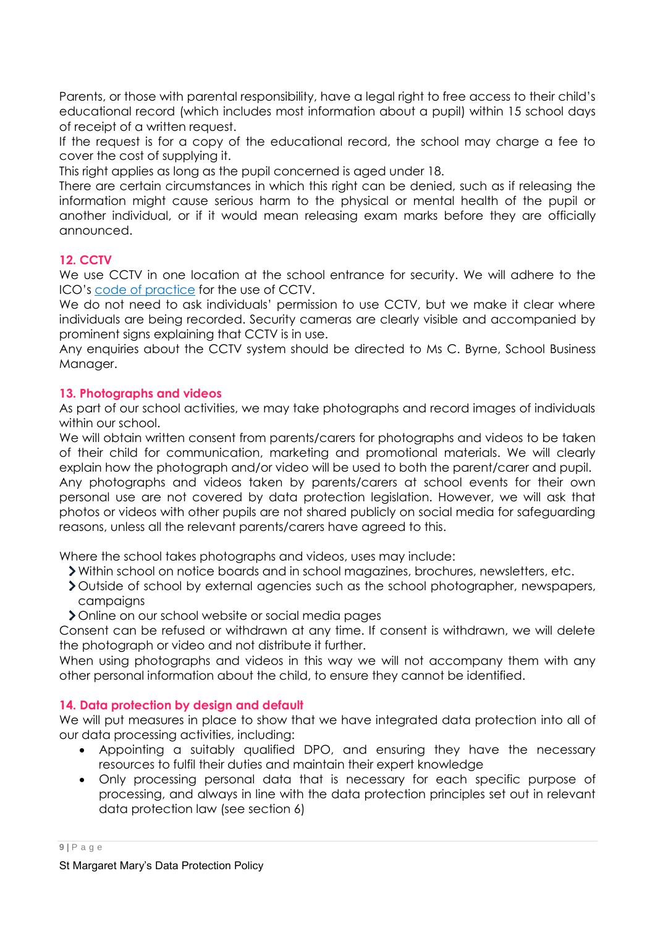Parents, or those with parental responsibility, have a legal right to free access to their child's educational record (which includes most information about a pupil) within 15 school days of receipt of a written request.

If the request is for a copy of the educational record, the school may charge a fee to cover the cost of supplying it.

This right applies as long as the pupil concerned is aged under 18.

There are certain circumstances in which this right can be denied, such as if releasing the information might cause serious harm to the physical or mental health of the pupil or another individual, or if it would mean releasing exam marks before they are officially announced.

## <span id="page-8-0"></span>**12. CCTV**

We use CCTV in one location at the school entrance for security. We will adhere to the ICO's [code of practice](https://ico.org.uk/media/for-organisations/documents/1542/cctv-code-of-practice.pdf) for the use of CCTV.

We do not need to ask individuals' permission to use CCTV, but we make it clear where individuals are being recorded. Security cameras are clearly visible and accompanied by prominent signs explaining that CCTV is in use.

Any enquiries about the CCTV system should be directed to Ms C. Byrne, School Business Manager.

### <span id="page-8-1"></span>**13. Photographs and videos**

As part of our school activities, we may take photographs and record images of individuals within our school.

We will obtain written consent from parents/carers for photographs and videos to be taken of their child for communication, marketing and promotional materials. We will clearly explain how the photograph and/or video will be used to both the parent/carer and pupil. Any photographs and videos taken by parents/carers at school events for their own personal use are not covered by data protection legislation. However, we will ask that photos or videos with other pupils are not shared publicly on social media for safeguarding

reasons, unless all the relevant parents/carers have agreed to this.

Where the school takes photographs and videos, uses may include:

- Within school on notice boards and in school magazines, brochures, newsletters, etc.
- Outside of school by external agencies such as the school photographer, newspapers, campaigns
- Online on our school website or social media pages

Consent can be refused or withdrawn at any time. If consent is withdrawn, we will delete the photograph or video and not distribute it further.

When using photographs and videos in this way we will not accompany them with any other personal information about the child, to ensure they cannot be identified.

## <span id="page-8-2"></span>**14. Data protection by design and default**

We will put measures in place to show that we have integrated data protection into all of our data processing activities, including:

- Appointing a suitably qualified DPO, and ensuring they have the necessary resources to fulfil their duties and maintain their expert knowledge
- Only processing personal data that is necessary for each specific purpose of processing, and always in line with the data protection principles set out in relevant data protection law (see section 6)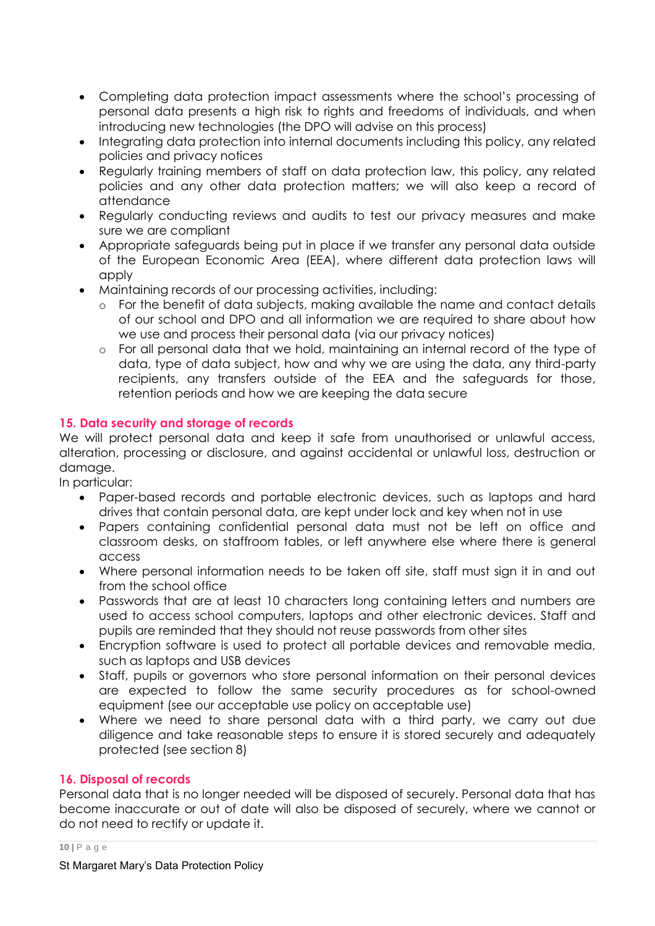- Completing data protection impact assessments where the school's processing of personal data presents a high risk to rights and freedoms of individuals, and when introducing new technologies (the DPO will advise on this process)
- Integrating data protection into internal documents including this policy, any related policies and privacy notices
- Regularly training members of staff on data protection law, this policy, any related policies and any other data protection matters; we will also keep a record of attendance
- Regularly conducting reviews and audits to test our privacy measures and make sure we are compliant
- Appropriate safeguards being put in place if we transfer any personal data outside of the European Economic Area (EEA), where different data protection laws will apply
- Maintaining records of our processing activities, including:
	- o For the benefit of data subjects, making available the name and contact details of our school and DPO and all information we are required to share about how we use and process their personal data (via our privacy notices)
	- o For all personal data that we hold, maintaining an internal record of the type of data, type of data subject, how and why we are using the data, any third-party recipients, any transfers outside of the EEA and the safeguards for those, retention periods and how we are keeping the data secure

## <span id="page-9-0"></span>**15. Data security and storage of records**

We will protect personal data and keep it safe from unauthorised or unlawful access, alteration, processing or disclosure, and against accidental or unlawful loss, destruction or damage.

In particular:

- Paper-based records and portable electronic devices, such as laptops and hard drives that contain personal data, are kept under lock and key when not in use
- Papers containing confidential personal data must not be left on office and classroom desks, on staffroom tables, or left anywhere else where there is general access
- Where personal information needs to be taken off site, staff must sign it in and out from the school office
- Passwords that are at least 10 characters long containing letters and numbers are used to access school computers, laptops and other electronic devices. Staff and pupils are reminded that they should not reuse passwords from other sites
- Encryption software is used to protect all portable devices and removable media, such as laptops and USB devices
- Staff, pupils or governors who store personal information on their personal devices are expected to follow the same security procedures as for school-owned equipment (see our acceptable use policy on acceptable use)
- Where we need to share personal data with a third party, we carry out due diligence and take reasonable steps to ensure it is stored securely and adequately protected (see section 8)

## <span id="page-9-1"></span>**16. Disposal of records**

Personal data that is no longer needed will be disposed of securely. Personal data that has become inaccurate or out of date will also be disposed of securely, where we cannot or do not need to rectify or update it.

#### **10 |** P a g e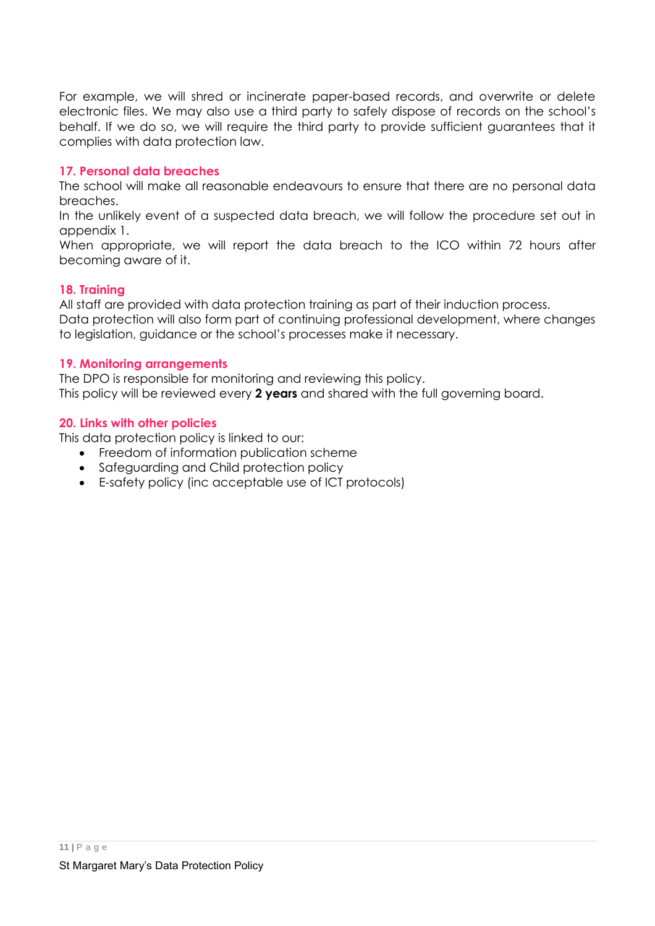For example, we will shred or incinerate paper-based records, and overwrite or delete electronic files. We may also use a third party to safely dispose of records on the school's behalf. If we do so, we will require the third party to provide sufficient guarantees that it complies with data protection law.

## <span id="page-10-0"></span>**17. Personal data breaches**

The school will make all reasonable endeavours to ensure that there are no personal data breaches.

In the unlikely event of a suspected data breach, we will follow the procedure set out in appendix 1.

When appropriate, we will report the data breach to the ICO within 72 hours after becoming aware of it.

### <span id="page-10-1"></span>**18. Training**

All staff are provided with data protection training as part of their induction process.

Data protection will also form part of continuing professional development, where changes to legislation, guidance or the school's processes make it necessary.

#### <span id="page-10-2"></span>**19. Monitoring arrangements**

The DPO is responsible for monitoring and reviewing this policy. This policy will be reviewed every **2 years** and shared with the full governing board.

#### <span id="page-10-3"></span>**20. Links with other policies**

This data protection policy is linked to our:

- Freedom of information publication scheme
- Safeguarding and Child protection policy
- E-safety policy (inc acceptable use of ICT protocols)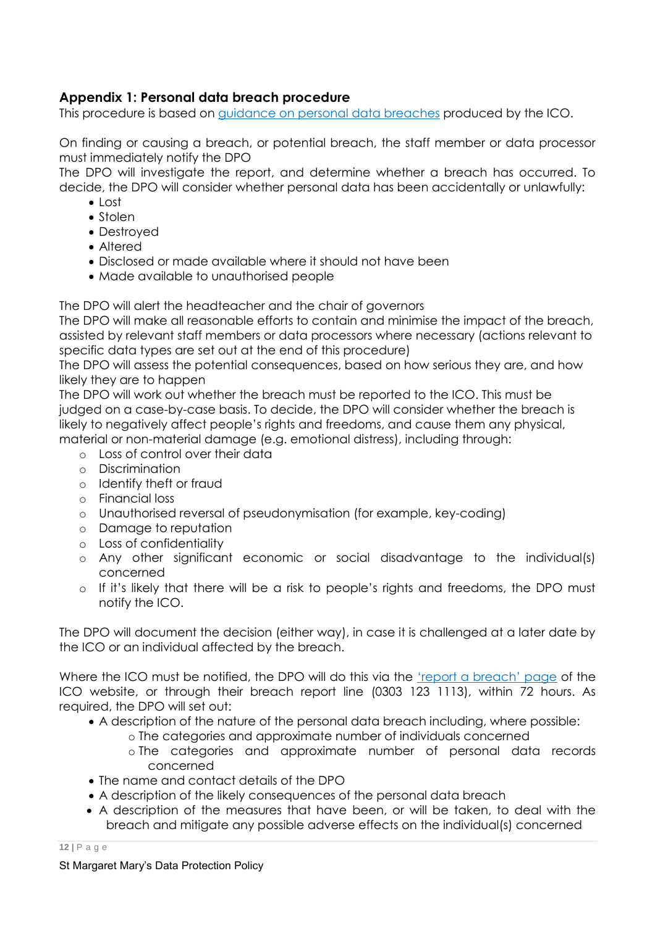## <span id="page-11-0"></span>**Appendix 1: Personal data breach procedure**

This procedure is based on [guidance on personal data breaches](https://ico.org.uk/for-organisations/guide-to-the-general-data-protection-regulation-gdpr/personal-data-breaches/) produced by the ICO.

On finding or causing a breach, or potential breach, the staff member or data processor must immediately notify the DPO

The DPO will investigate the report, and determine whether a breach has occurred. To decide, the DPO will consider whether personal data has been accidentally or unlawfully:

- $\bullet$  Lost
- Stolen
- Destroyed
- Altered
- Disclosed or made available where it should not have been
- Made available to unauthorised people

The DPO will alert the headteacher and the chair of governors

The DPO will make all reasonable efforts to contain and minimise the impact of the breach, assisted by relevant staff members or data processors where necessary (actions relevant to specific data types are set out at the end of this procedure)

The DPO will assess the potential consequences, based on how serious they are, and how likely they are to happen

The DPO will work out whether the breach must be reported to the ICO. This must be judged on a case-by-case basis. To decide, the DPO will consider whether the breach is likely to negatively affect people's rights and freedoms, and cause them any physical, material or non-material damage (e.g. emotional distress), including through:

- o Loss of control over their data
- o Discrimination
- o Identify theft or fraud
- o Financial loss
- o Unauthorised reversal of pseudonymisation (for example, key-coding)
- o Damage to reputation
- o Loss of confidentiality
- o Any other significant economic or social disadvantage to the individual(s) concerned
- o If it's likely that there will be a risk to people's rights and freedoms, the DPO must notify the ICO.

The DPO will document the decision (either way), in case it is challenged at a later date by the ICO or an individual affected by the breach.

Where the ICO must be notified, the DPO will do this via the ['report a breach' page](https://ico.org.uk/for-organisations/report-a-breach/) of the ICO website, or through their breach report line (0303 123 1113), within 72 hours. As required, the DPO will set out:

- A description of the nature of the personal data breach including, where possible:
	- o The categories and approximate number of individuals concerned
	- o The categories and approximate number of personal data records concerned
- The name and contact details of the DPO
- A description of the likely consequences of the personal data breach
- A description of the measures that have been, or will be taken, to deal with the breach and mitigate any possible adverse effects on the individual(s) concerned